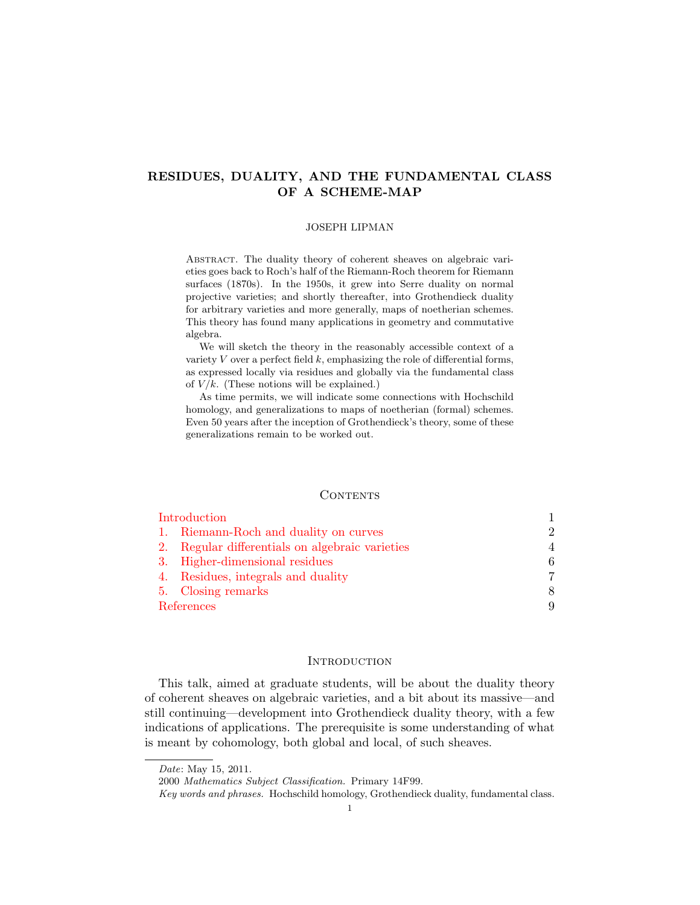# RESIDUES, DUALITY, AND THE FUNDAMENTAL CLASS OF A SCHEME-MAP

#### JOSEPH LIPMAN

ABSTRACT. The duality theory of coherent sheaves on algebraic varieties goes back to Roch's half of the Riemann-Roch theorem for Riemann surfaces (1870s). In the 1950s, it grew into Serre duality on normal projective varieties; and shortly thereafter, into Grothendieck duality for arbitrary varieties and more generally, maps of noetherian schemes. This theory has found many applications in geometry and commutative algebra.

We will sketch the theory in the reasonably accessible context of a variety  $V$  over a perfect field  $k$ , emphasizing the role of differential forms, as expressed locally via residues and globally via the fundamental class of  $V/k$ . (These notions will be explained.)

As time permits, we will indicate some connections with Hochschild homology, and generalizations to maps of noetherian (formal) schemes. Even 50 years after the inception of Grothendieck's theory, some of these generalizations remain to be worked out.

#### **CONTENTS**

| Introduction |                                                 |                             |
|--------------|-------------------------------------------------|-----------------------------|
|              | 1. Riemann-Roch and duality on curves           | $\mathcal{D}_{\mathcal{L}}$ |
|              | 2. Regular differentials on algebraic varieties | $\overline{A}$              |
|              | 3. Higher-dimensional residues                  | 6                           |
|              | 4. Residues, integrals and duality              | 7                           |
|              | 5. Closing remarks                              | 8                           |
| References   |                                                 | 9                           |

### **INTRODUCTION**

<span id="page-0-0"></span>This talk, aimed at graduate students, will be about the duality theory of coherent sheaves on algebraic varieties, and a bit about its massive—and still continuing—development into Grothendieck duality theory, with a few indications of applications. The prerequisite is some understanding of what is meant by cohomology, both global and local, of such sheaves.

Date: May 15, 2011.

<sup>2000</sup> Mathematics Subject Classification. Primary 14F99.

Key words and phrases. Hochschild homology, Grothendieck duality, fundamental class.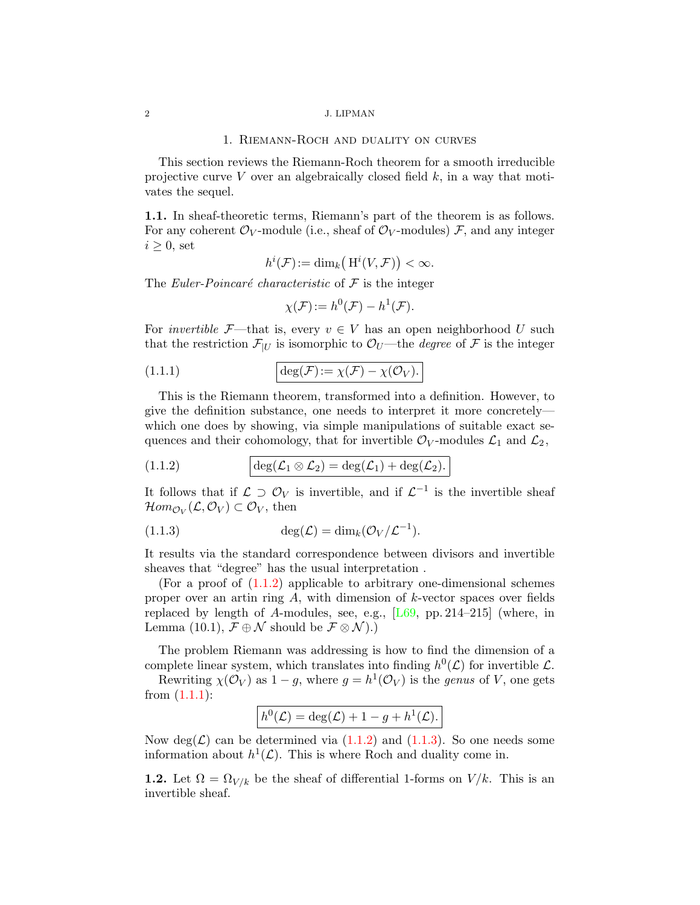#### 1. Riemann-Roch and duality on curves

<span id="page-1-4"></span><span id="page-1-0"></span>This section reviews the Riemann-Roch theorem for a smooth irreducible projective curve V over an algebraically closed field  $k$ , in a way that motivates the sequel.

1.1. In sheaf-theoretic terms, Riemann's part of the theorem is as follows. For any coherent  $\mathcal{O}_V$ -module (i.e., sheaf of  $\mathcal{O}_V$ -modules) F, and any integer  $i \geq 0$ , set

$$
h^{i}(\mathcal{F}) := \dim_{k} \left( H^{i}(V, \mathcal{F}) \right) < \infty.
$$

The Euler-Poincaré characteristic of  $\mathcal F$  is the integer

<span id="page-1-2"></span>
$$
\chi(\mathcal{F}) := h^0(\mathcal{F}) - h^1(\mathcal{F}).
$$

For *invertible*  $\mathcal{F}$ —that is, every  $v \in V$  has an open neighborhood U such that the restriction  $\mathcal{F}_{|U}$  is isomorphic to  $\mathcal{O}_U$ —the *degree* of  $\mathcal F$  is the integer

(1.1.1) 
$$
\deg(\mathcal{F}) := \chi(\mathcal{F}) - \chi(\mathcal{O}_V).
$$

This is the Riemann theorem, transformed into a definition. However, to give the definition substance, one needs to interpret it more concretely which one does by showing, via simple manipulations of suitable exact sequences and their cohomology, that for invertible  $\mathcal{O}_V$ -modules  $\mathcal{L}_1$  and  $\mathcal{L}_2$ ,

<span id="page-1-1"></span>(1.1.2) 
$$
\deg(\mathcal{L}_1 \otimes \mathcal{L}_2) = \deg(\mathcal{L}_1) + \deg(\mathcal{L}_2).
$$

It follows that if  $\mathcal{L} \supset \mathcal{O}_V$  is invertible, and if  $\mathcal{L}^{-1}$  is the invertible sheaf  $\mathcal{H}om_{\mathcal{O}_V}(\mathcal{L}, \mathcal{O}_V) \subset \mathcal{O}_V$ , then

<span id="page-1-3"></span>(1.1.3) 
$$
\deg(\mathcal{L}) = \dim_k(\mathcal{O}_V/\mathcal{L}^{-1}).
$$

It results via the standard correspondence between divisors and invertible sheaves that "degree" has the usual interpretation .

(For a proof of [\(1.1.2\)](#page-1-1) applicable to arbitrary one-dimensional schemes proper over an artin ring  $A$ , with dimension of  $k$ -vector spaces over fields replaced by length of A-modules, see, e.g.,  $[L69, pp. 214-215]$  (where, in Lemma (10.1),  $\mathcal{F} \oplus \mathcal{N}$  should be  $\mathcal{F} \otimes \mathcal{N}$ ).)

The problem Riemann was addressing is how to find the dimension of a complete linear system, which translates into finding  $h^0(\mathcal{L})$  for invertible  $\mathcal{L}$ .

Rewriting  $\chi(\mathcal{O}_V)$  as  $1-g$ , where  $g = h^1(\mathcal{O}_V)$  is the *genus* of V, one gets from  $(1.1.1)$ :

$$
h^{0}(\mathcal{L}) = \deg(\mathcal{L}) + 1 - g + h^{1}(\mathcal{L}).
$$

Now deg( $\mathcal{L}$ ) can be determined via [\(1.1.2\)](#page-1-1) and [\(1.1.3\)](#page-1-3). So one needs some information about  $h^1(\mathcal{L})$ . This is where Roch and duality come in.

**1.2.** Let  $\Omega = \Omega_{V/k}$  be the sheaf of differential 1-forms on  $V/k$ . This is an invertible sheaf.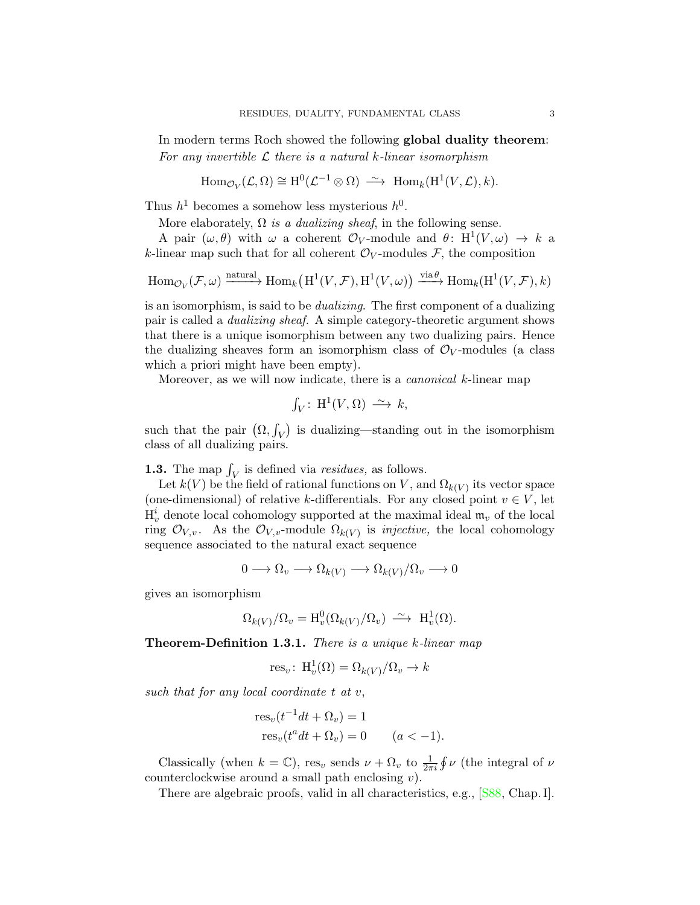<span id="page-2-1"></span>In modern terms Roch showed the following global duality theorem: For any invertible  $\mathcal L$  there is a natural k-linear isomorphism

 $\text{Hom}_{\mathcal{O}_V}(\mathcal{L}, \Omega) \cong \text{H}^0(\mathcal{L}^{-1} \otimes \Omega) \longrightarrow \text{Hom}_k(\text{H}^1(V, \mathcal{L}), k).$ 

Thus  $h^1$  becomes a somehow less mysterious  $h^0$ .

More elaborately,  $\Omega$  is a dualizing sheaf, in the following sense.

A pair  $(\omega, \theta)$  with  $\omega$  a coherent  $\mathcal{O}_V$ -module and  $\theta \colon H^1(V, \omega) \to k$  a k-linear map such that for all coherent  $\mathcal{O}_V$ -modules F, the composition

$$
\operatorname{Hom}_{\mathcal{O}_V}(\mathcal{F},\omega) \xrightarrow{\operatorname{natural}} \operatorname{Hom}_k\left(\operatorname{H}^1(V,\mathcal{F}),\operatorname{H}^1(V,\omega)\right) \xrightarrow{\operatorname{via}\theta} \operatorname{Hom}_k(\operatorname{H}^1(V,\mathcal{F}),k)
$$

is an isomorphism, is said to be dualizing. The first component of a dualizing pair is called a dualizing sheaf. A simple category-theoretic argument shows that there is a unique isomorphism between any two dualizing pairs. Hence the dualizing sheaves form an isomorphism class of  $\mathcal{O}_V$ -modules (a class which a priori might have been empty).

Moreover, as we will now indicate, there is a *canonical k*-linear map

$$
\int_V: H^1(V, \Omega) \longrightarrow k,
$$

such that the pair  $(\Omega, \int_V)$  is dualizing—standing out in the isomorphism class of all dualizing pairs.

<span id="page-2-0"></span>**1.3.** The map  $\int_V$  is defined via *residues*, as follows.

Let  $k(V)$  be the field of rational functions on V, and  $\Omega_{k(V)}$  its vector space (one-dimensional) of relative k-differentials. For any closed point  $v \in V$ , let  $H_v^i$  denote local cohomology supported at the maximal ideal  $\mathfrak{m}_v$  of the local ring  $\mathcal{O}_{V,v}$ . As the  $\mathcal{O}_{V,v}$ -module  $\Omega_{k(V)}$  is *injective*, the local cohomology sequence associated to the natural exact sequence

$$
0 \longrightarrow \Omega_v \longrightarrow \Omega_{k(V)} \longrightarrow \Omega_{k(V)}/\Omega_v \longrightarrow 0
$$

gives an isomorphism

$$
\Omega_{k(V)}/\Omega_v = \mathrm{H}^0_v(\Omega_{k(V)}/\Omega_v) \longrightarrow \mathrm{H}^1_v(\Omega).
$$

Theorem-Definition 1.3.1. There is a unique k-linear map

res<sub>v</sub>: H<sup>1</sup><sub>v</sub>(
$$
\Omega
$$
) =  $\Omega_{k(V)}/\Omega_v \to k$ 

such that for any local coordinate  $t$  at  $v$ ,

$$
res_v(t^{-1}dt + \Omega_v) = 1
$$
  
\n
$$
res_v(t^a dt + \Omega_v) = 0 \qquad (a < -1).
$$

Classically (when  $k = \mathbb{C}$ ), res<sub>v</sub> sends  $\nu + \Omega_v$  to  $\frac{1}{2\pi i} \oint \nu$  (the integral of  $\nu$ counterclockwise around a small path enclosing  $v$ ).

There are algebraic proofs, valid in all characteristics, e.g., [\[S88,](#page-9-0) Chap. I].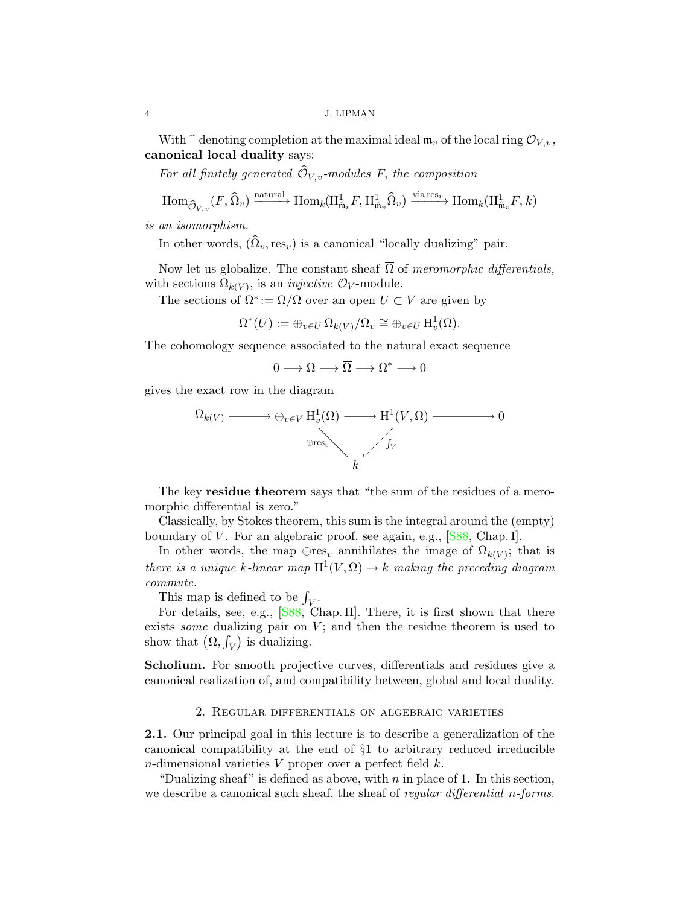With  $\hat{\ }$  denoting completion at the maximal ideal  $\mathfrak{m}_v$  of the local ring  $\mathcal{O}_{V,v}$ , canonical local duality says:

For all finitely generated  $\widehat{\mathcal{O}}_{V,v}$ -modules F, the composition

$$
\text{Hom}_{\widehat{\mathcal{O}}_{V,v}}(F,\widehat{\Omega}_v) \xrightarrow{\text{natural}} \text{Hom}_k(\text{H}^1_{\widehat{\mathfrak{m}}_v}F,\text{H}^1_{\widehat{\mathfrak{m}}_v}\widehat{\Omega}_v) \xrightarrow{\text{via res}_v} \text{Hom}_k(\text{H}^1_{\widehat{\mathfrak{m}}_v}F,k)
$$

is an isomorphism.

In other words,  $(\hat{\Omega}_v, \text{res}_v)$  is a canonical "locally dualizing" pair.

Now let us globalize. The constant sheaf  $\overline{\Omega}$  of meromorphic differentials, with sections  $\Omega_{k(V)}$ , is an *injective*  $\mathcal{O}_V$ -module.

The sections of  $\Omega^* := \overline{\Omega}/\Omega$  over an open  $U \subset V$  are given by

$$
\Omega^*(U) := \oplus_{v \in U} \Omega_{k(V)}/\Omega_v \cong \oplus_{v \in U} \mathrm{H}_v^1(\Omega).
$$

The cohomology sequence associated to the natural exact sequence

$$
0\longrightarrow \Omega \longrightarrow \overline{\Omega} \longrightarrow \Omega^* \longrightarrow 0
$$

gives the exact row in the diagram

$$
\Omega_{k(V)} \longrightarrow \bigoplus_{v \in V} H_v^1(\Omega) \longrightarrow H^1(V, \Omega) \longrightarrow 0
$$
  

$$
\oplus_{\text{res}_v} \longrightarrow \bigotimes_{k} C'
$$

The key residue theorem says that "the sum of the residues of a meromorphic differential is zero."

Classically, by Stokes theorem, this sum is the integral around the (empty) boundary of V. For an algebraic proof, see again, e.g.,  $[$ S88, Chap. I].

In other words, the map  $\oplus$ res<sub>v</sub> annihilates the image of  $\Omega_{k(V)}$ ; that is there is a unique k-linear map  $H^1(V,\Omega) \to k$  making the preceding diagram commute.

This map is defined to be  $\int_V$ .

For details, see, e.g., [\[S88,](#page-9-0) Chap. II]. There, it is first shown that there exists *some* dualizing pair on  $V$ ; and then the residue theorem is used to show that  $(\Omega, \int_V)$  is dualizing.

Scholium. For smooth projective curves, differentials and residues give a canonical realization of, and compatibility between, global and local duality.

## 2. Regular differentials on algebraic varieties

<span id="page-3-0"></span>2.1. Our principal goal in this lecture is to describe a generalization of the canonical compatibility at the end of §1 to arbitrary reduced irreducible n-dimensional varieties  $V$  proper over a perfect field  $k$ .

"Dualizing sheaf" is defined as above, with  $n$  in place of 1. In this section, we describe a canonical such sheaf, the sheaf of *regular differential n-forms*.

<span id="page-3-1"></span>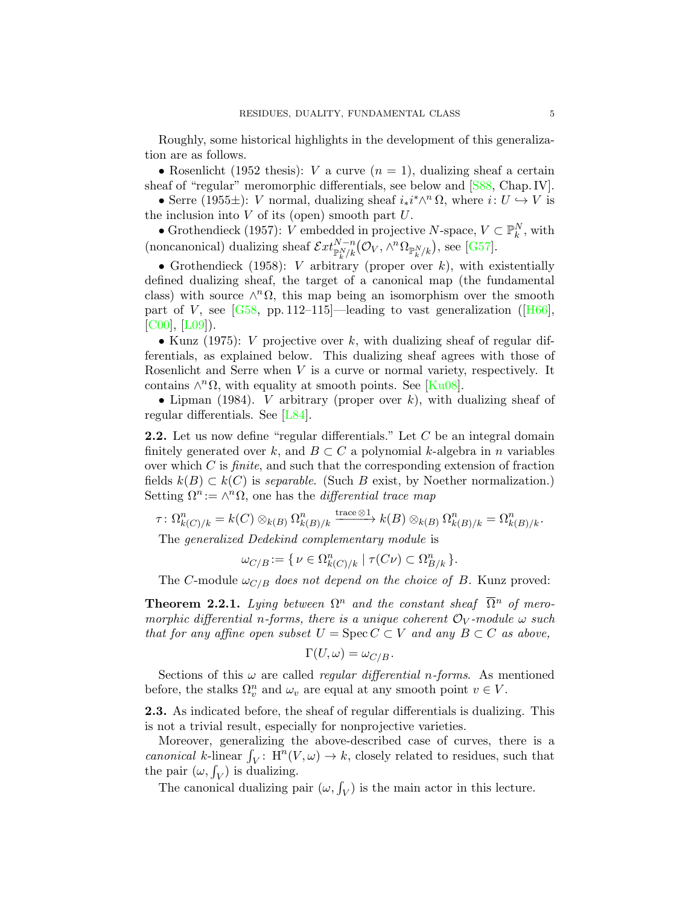<span id="page-4-1"></span>Roughly, some historical highlights in the development of this generalization are as follows.

• Rosenlicht (1952 thesis): *V* a curve  $(n = 1)$ , dualizing sheaf a certain sheaf of "regular" meromorphic differentials, see below and [\[S88,](#page-9-0) Chap. IV].

• Serre (1955 $\pm$ ): *V* normal, dualizing sheaf  $i_*i^*\wedge^n \Omega$ , where  $i: U \hookrightarrow V$  is the inclusion into  $V$  of its (open) smooth part  $U$ .

• Grothendieck (1957): V embedded in projective N-space,  $V \subset \mathbb{P}_k^N$ , with (noncanonical) dualizing sheaf  $\mathcal{E}xt^{N-n}_{\mathbb{P}^N_k/k}(\mathcal{O}_V, \wedge^n \Omega_{\mathbb{P}^N_k/k}),$  see [\[G57\]](#page-8-2).

• Grothendieck (1958): *V* arbitrary (proper over  $k$ ), with existentially defined dualizing sheaf, the target of a canonical map (the fundamental class) with source  $\wedge^n \Omega$ , this map being an isomorphism over the smooth partof V, see  $[G58, pp. 112–115]$ —leading to vast generalization ([\[H66\]](#page-8-4), [\[C00\]](#page-8-5), [\[L09\]](#page-9-1)).

• Kunz (1975): V projective over k, with dualizing sheaf of regular differentials, as explained below. This dualizing sheaf agrees with those of Rosenlicht and Serre when V is a curve or normal variety, respectively. It contains  $\wedge^n \Omega$ , with equality at smooth points. See [\[Ku08\]](#page-8-6).

• Lipman (1984). *V* arbitrary (proper over k), with dualizing sheaf of regular differentials. See [\[L84\]](#page-8-7).

<span id="page-4-0"></span>2.2. Let us now define "regular differentials." Let C be an integral domain finitely generated over k, and  $B \subset C$  a polynomial k-algebra in n variables over which  $C$  is *finite*, and such that the corresponding extension of fraction fields  $k(B) \subset k(C)$  is separable. (Such B exist, by Noether normalization.) Setting  $\Omega^n := \wedge^n \Omega$ , one has the *differential trace map* 

$$
\tau \colon \Omega^n_{k(C)/k} = k(C) \otimes_{k(B)} \Omega^n_{k(B)/k} \xrightarrow{\text{trace} \otimes 1} k(B) \otimes_{k(B)} \Omega^n_{k(B)/k} = \Omega^n_{k(B)/k}.
$$

The generalized Dedekind complementary module is

$$
\omega_{C/B} := \{ \nu \in \Omega^n_{k(C)/k} \mid \tau(C\nu) \subset \Omega^n_{B/k} \}.
$$

The C-module  $\omega_{C/B}$  does not depend on the choice of B. Kunz proved:

**Theorem 2.2.1.** Lying between  $\Omega^n$  and the constant sheaf  $\overline{\Omega}^n$  of meromorphic differential n-forms, there is a unique coherent  $\mathcal{O}_V$ -module  $\omega$  such that for any affine open subset  $U = \operatorname{Spec} C \subset V$  and any  $B \subset C$  as above,

$$
\Gamma(U,\omega)=\omega_{C/B}.
$$

Sections of this  $\omega$  are called *regular differential n-forms*. As mentioned before, the stalks  $\Omega_v^n$  and  $\omega_v$  are equal at any smooth point  $v \in V$ .

2.3. As indicated before, the sheaf of regular differentials is dualizing. This is not a trivial result, especially for nonprojective varieties.

Moreover, generalizing the above-described case of curves, there is a canonical k-linear  $\int_V : H^n(V, \omega) \to k$ , closely related to residues, such that the pair  $(\omega, \int_V)$  is dualizing.

The canonical dualizing pair  $(\omega, \int_V)$  is the main actor in this lecture.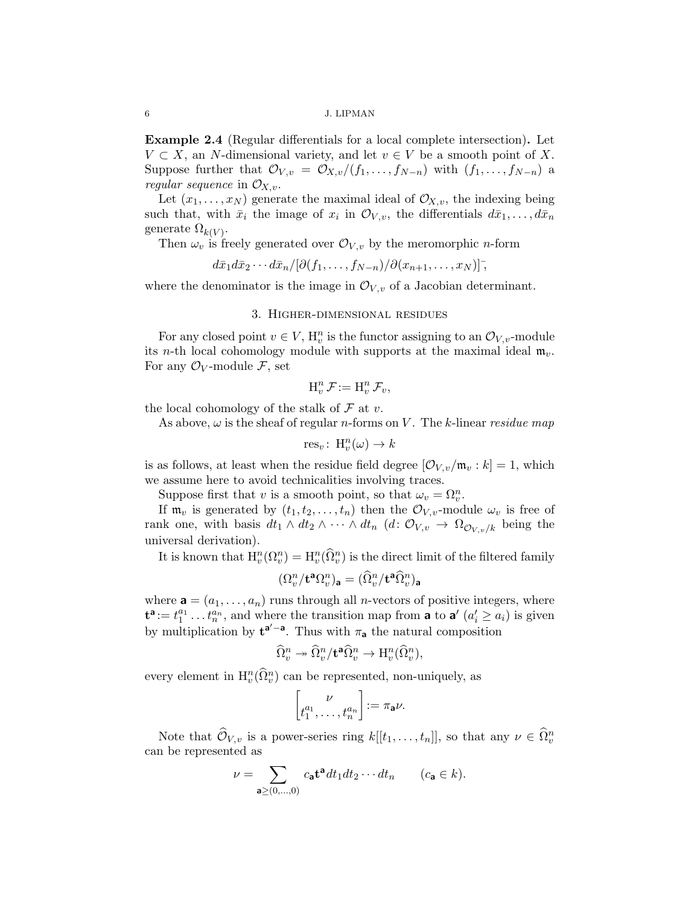Example 2.4 (Regular differentials for a local complete intersection). Let  $V \subset X$ , an N-dimensional variety, and let  $v \in V$  be a smooth point of X. Suppose further that  $\mathcal{O}_{V,v} = \mathcal{O}_{X,v}/(f_1,\ldots,f_{N-n})$  with  $(f_1,\ldots,f_{N-n})$  a regular sequence in  $\mathcal{O}_{X,v}$ .

Let  $(x_1, \ldots, x_N)$  generate the maximal ideal of  $\mathcal{O}_{X,v}$ , the indexing being such that, with  $\bar{x}_i$  the image of  $x_i$  in  $\mathcal{O}_{V,v}$ , the differentials  $d\bar{x}_1, \ldots, d\bar{x}_n$ generate  $\Omega_{k(V)}$ .

Then  $\omega_v$  is freely generated over  $\mathcal{O}_{V,v}$  by the meromorphic *n*-form

 $d\bar{x}_1 d\bar{x}_2 \cdots d\bar{x}_n/[\partial(f_1,\ldots,f_{N-n})/\partial(x_{n+1},\ldots,x_N)]^{\dagger},$ 

where the denominator is the image in  $\mathcal{O}_{V,v}$  of a Jacobian determinant.

### 3. Higher-dimensional residues

<span id="page-5-0"></span>For any closed point  $v \in V$ ,  $H_v^n$  is the functor assigning to an  $\mathcal{O}_{V,v}$ -module its n-th local cohomology module with supports at the maximal ideal  $m_v$ . For any  $\mathcal{O}_V$ -module  $\mathcal{F}$ , set

$$
\mathcal{H}_v^n \mathcal{F} := \mathcal{H}_v^n \mathcal{F}_v,
$$

the local cohomology of the stalk of  $\mathcal F$  at  $v$ .

As above,  $\omega$  is the sheaf of regular *n*-forms on V. The *k*-linear *residue map* 

$$
\text{res}_v\colon\operatorname{H}_v^n(\omega)\to k
$$

is as follows, at least when the residue field degree  $[O_{V,v}/\mathfrak{m}_v : k] = 1$ , which we assume here to avoid technicalities involving traces.

Suppose first that v is a smooth point, so that  $\omega_v = \Omega_v^n$ .

If  $\mathfrak{m}_v$  is generated by  $(t_1, t_2, \ldots, t_n)$  then the  $\mathcal{O}_{V,v}$ -module  $\omega_v$  is free of rank one, with basis  $dt_1 \wedge dt_2 \wedge \cdots \wedge dt_n$   $(d: \mathcal{O}_{V,v} \rightarrow \Omega_{\mathcal{O}_{V,v}/k}$  being the universal derivation).

It is known that  $H_v^n(\Omega_v^n) = H_v^n(\widehat{\Omega}_v^n)$  is the direct limit of the filtered family

$$
(\Omega^n_v/\mathbf{t}^{\mathbf{a}}\Omega^n_v)_{\mathbf{a}} = (\widehat{\Omega}^n_v/\mathbf{t}^{\mathbf{a}}\widehat{\Omega}^n_v)_{\mathbf{a}}
$$

where  $\mathbf{a} = (a_1, \ldots, a_n)$  runs through all *n*-vectors of positive integers, where  $\mathbf{t}^{\mathbf{a}} := t_1^{a_1} \dots t_n^{a_n}$ , and where the transition map from **a** to **a**'  $(a'_i \ge a_i)$  is given by multiplication by  $t^{a'-a}$ . Thus with  $\pi_a$  the natural composition

$$
\widehat{\Omega}^n_v \twoheadrightarrow \widehat{\Omega}^n_v / \mathbf{t}^{\mathbf{a}} \widehat{\Omega}^n_v \to \mathrm{H}^n_v(\widehat{\Omega}^n_v),
$$

every element in  $\mathrm{H}_v^n(\widehat{\Omega}_v^n)$  can be represented, non-uniquely, as

$$
\begin{bmatrix} \nu \\ t_1^{a_1}, \dots, t_n^{a_n} \end{bmatrix} := \pi_{\mathbf{a}} \nu.
$$

Note that  $\widehat{\mathcal{O}}_{V,v}$  is a power-series ring  $k[[t_1,\ldots,t_n]],$  so that any  $\nu \in \widehat{\Omega}_v^n$ can be represented as

$$
\nu = \sum_{\mathbf{a} \ge (0,\dots,0)} c_{\mathbf{a}} \mathbf{t}^{\mathbf{a}} dt_1 dt_2 \cdots dt_n \qquad (c_{\mathbf{a}} \in k).
$$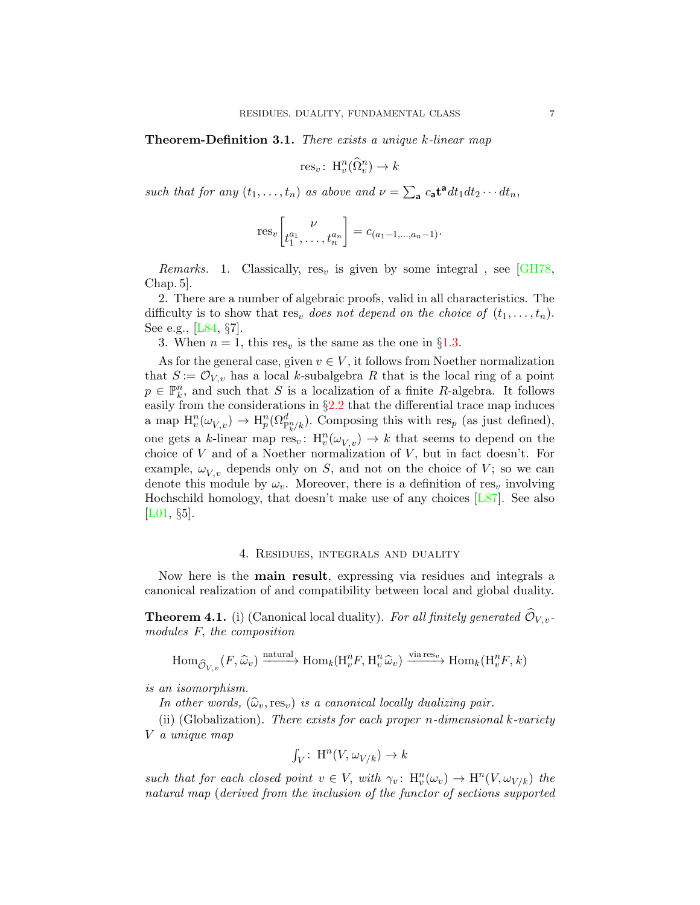<span id="page-6-1"></span>Theorem-Definition 3.1. There exists a unique k-linear map

$$
\text{res}_v\colon\operatorname{H}_v^n(\widehat{\Omega}_v^n)\to k
$$

such that for any  $(t_1, \ldots, t_n)$  as above and  $\nu = \sum_{\mathbf{a}} c_{\mathbf{a}} \mathbf{t}^{\mathbf{a}} dt_1 dt_2 \cdots dt_n$ ,

$$
res_v \left[ \begin{matrix} \nu \\ t_1^{a_1}, \dots, t_n^{a_n} \end{matrix} \right] = c_{(a_1 - 1, \dots, a_n - 1)}.
$$

Remarks. 1. Classically, res<sub>v</sub> is given by some integral, see [\[GH78,](#page-8-8) Chap. 5].

2. There are a number of algebraic proofs, valid in all characteristics. The difficulty is to show that  $res_v$  does not depend on the choice of  $(t_1, \ldots, t_n)$ . See e.g., [\[L84,](#page-8-7) §7].

3. When  $n = 1$ , this res<sub>v</sub> is the same as the one in §[1.3.](#page-2-0)

As for the general case, given  $v \in V$ , it follows from Noether normalization that  $S := \mathcal{O}_{V,v}$  has a local k-subalgebra R that is the local ring of a point  $p \in \mathbb{P}_k^n$ , and such that S is a localization of a finite R-algebra. It follows easily from the considerations in  $\S 2.2$  $\S 2.2$  that the differential trace map induces a map  $H_v^n(\omega_{V,v}) \to H_p^n(\Omega_{\mathbb{P}_k^n/k}^d)$ . Composing this with res<sub>p</sub> (as just defined), one gets a k-linear map  $\operatorname{res}_v: H_v^n(\omega_{V,v}) \to k$  that seems to depend on the choice of  $V$  and of a Noether normalization of  $V$ , but in fact doesn't. For example,  $\omega_{V,v}$  depends only on S, and not on the choice of V; so we can denote this module by  $\omega_v$ . Moreover, there is a definition of res<sub>v</sub> involving Hochschild homology, that doesn't make use of any choices [\[L87\]](#page-9-2). See also [\[L01,](#page-9-3) §5].

### 4. Residues, integrals and duality

<span id="page-6-0"></span>Now here is the main result, expressing via residues and integrals a canonical realization of and compatibility between local and global duality.

**Theorem 4.1.** (i) (Canonical local duality). For all finitely generated  $\widehat{\mathcal{O}}_{V,v}$ modules F, the composition

$$
\text{Hom}_{\widehat{\mathcal{O}}_{V,v}}(F,\widehat{\omega}_v) \xrightarrow{\text{natural}} \text{Hom}_k(\text{H}_v^n F, \text{H}_v^n \widehat{\omega}_v) \xrightarrow{\text{via res}_v} \text{Hom}_k(\text{H}_v^n F, k)
$$

is an isomorphism.

In other words,  $(\widehat{\omega}_v, \text{res}_v)$  is a canonical locally dualizing pair.

(ii) (Globalization). There exists for each proper *n*-dimensional k-variety V a unique map

$$
\int_V: \ \mathcal{H}^n(V, \omega_{V/k}) \to k
$$

such that for each closed point  $v \in V$ , with  $\gamma_v \colon H_v^n(\omega_v) \to H^n(V, \omega_{V/k})$  the natural map (derived from the inclusion of the functor of sections supported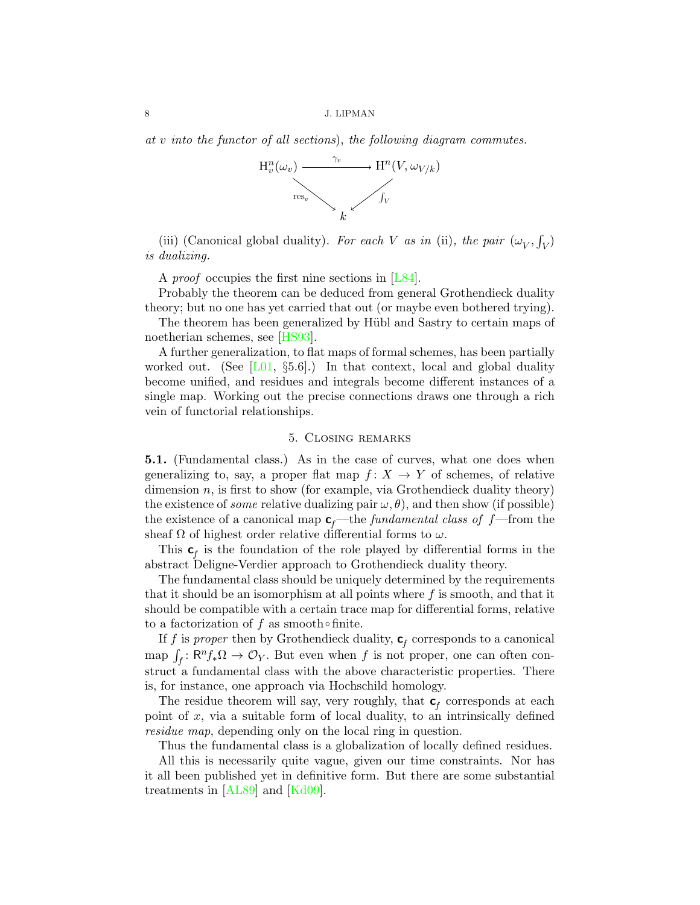<span id="page-7-1"></span>8 J. LIPMAN

at v into the functor of all sections), the following diagram commutes.



(iii) (Canonical global duality). For each V as in (ii), the pair  $(\omega_V, \int_V)$ is dualizing.

A *proof* occupies the first nine sections in [\[L84\]](#page-8-7).

Probably the theorem can be deduced from general Grothendieck duality theory; but no one has yet carried that out (or maybe even bothered trying).

The theorem has been generalized by Hübl and Sastry to certain maps of noetherian schemes, see [\[HS93\]](#page-8-9).

A further generalization, to flat maps of formal schemes, has been partially worked out. (See  $[L01, \S5.6]$ .) In that context, local and global duality become unified, and residues and integrals become different instances of a single map. Working out the precise connections draws one through a rich vein of functorial relationships.

### 5. Closing remarks

<span id="page-7-0"></span>5.1. (Fundamental class.) As in the case of curves, what one does when generalizing to, say, a proper flat map  $f: X \to Y$  of schemes, of relative dimension  $n$ , is first to show (for example, via Grothendieck duality theory) the existence of *some* relative dualizing pair  $\omega, \theta$ ), and then show (if possible) the existence of a canonical map  $c_f$ —the *fundamental class of f*—from the sheaf  $\Omega$  of highest order relative differential forms to  $\omega$ .

This  $\mathbf{c}_f$  is the foundation of the role played by differential forms in the abstract Deligne-Verdier approach to Grothendieck duality theory.

The fundamental class should be uniquely determined by the requirements that it should be an isomorphism at all points where  $f$  is smooth, and that it should be compatible with a certain trace map for differential forms, relative to a factorization of f as smooth∘finite.

If f is *proper* then by Grothendieck duality,  $\mathbf{c}_f$  corresponds to a canonical map  $\int_f : \mathsf{R}^n f_* \Omega \to \mathcal{O}_Y$ . But even when f is not proper, one can often construct a fundamental class with the above characteristic properties. There is, for instance, one approach via Hochschild homology.

The residue theorem will say, very roughly, that  $\mathbf{c}_f$  corresponds at each point of  $x$ , via a suitable form of local duality, to an intrinsically defined residue map, depending only on the local ring in question.

Thus the fundamental class is a globalization of locally defined residues.

All this is necessarily quite vague, given our time constraints. Nor has it all been published yet in definitive form. But there are some substantial treatments in [\[AL89\]](#page-8-0) and [\[Kd09\]](#page-8-10).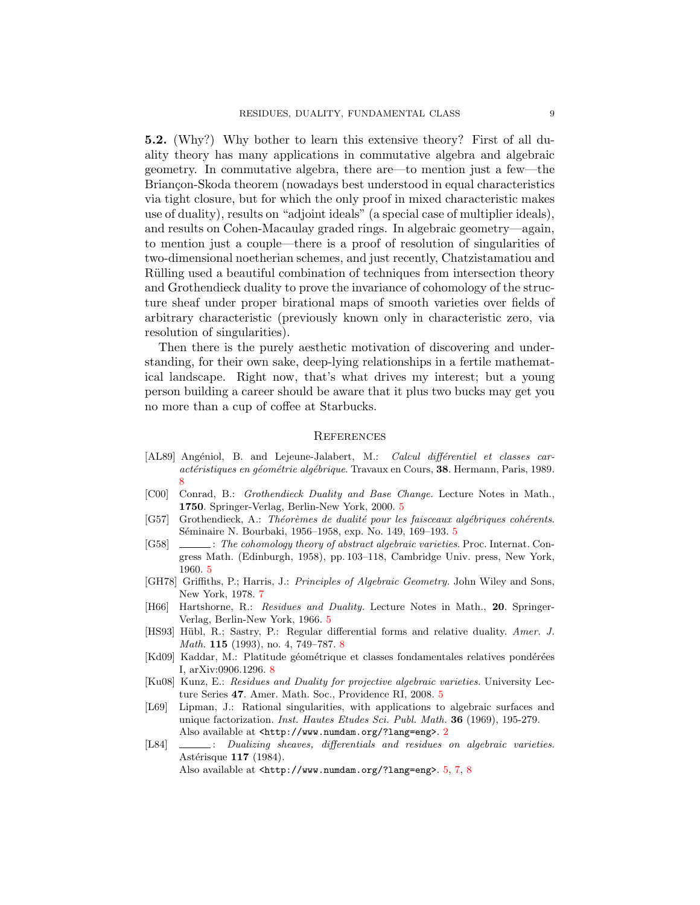5.2. (Why?) Why bother to learn this extensive theory? First of all duality theory has many applications in commutative algebra and algebraic geometry. In commutative algebra, there are—to mention just a few—the Briançon-Skoda theorem (nowadays best understood in equal characteristics) via tight closure, but for which the only proof in mixed characteristic makes use of duality), results on "adjoint ideals" (a special case of multiplier ideals), and results on Cohen-Macaulay graded rings. In algebraic geometry—again, to mention just a couple—there is a proof of resolution of singularities of two-dimensional noetherian schemes, and just recently, Chatzistamatiou and Rülling used a beautiful combination of techniques from intersection theory and Grothendieck duality to prove the invariance of cohomology of the structure sheaf under proper birational maps of smooth varieties over fields of arbitrary characteristic (previously known only in characteristic zero, via resolution of singularities).

Then there is the purely aesthetic motivation of discovering and understanding, for their own sake, deep-lying relationships in a fertile mathematical landscape. Right now, that's what drives my interest; but a young person building a career should be aware that it plus two bucks may get you no more than a cup of coffee at Starbucks.

#### **REFERENCES**

- <span id="page-8-0"></span>[AL89] Angéniol, B. and Lejeune-Jalabert, M.: *Calcul différentiel et classes car*actéristiques en géométrie algébrique. Travaux en Cours, 38. Hermann, Paris, 1989. [8](#page-7-1)
- <span id="page-8-5"></span>[C00] Conrad, B.: Grothendieck Duality and Base Change. Lecture Notes in Math., 1750. Springer-Verlag, Berlin-New York, 2000. [5](#page-4-1)
- <span id="page-8-2"></span> $[G57]$  Grothendieck, A.: Théorèmes de dualité pour les faisceaux algébriques cohérents. Séminaire N. Bourbaki, 19[5](#page-4-1)6–1958, exp. No. 149, 169–193. 5
- <span id="page-8-3"></span>[G58]  $\quad \quad \quad \text{The cohomology theory of abstract algebraic varieties. Proc. Internat. Con$ gress Math. (Edinburgh, 1958), pp. 103–118, Cambridge Univ. press, New York, 1960. [5](#page-4-1)
- <span id="page-8-8"></span>[GH78] Griffiths, P.; Harris, J.: Principles of Algebraic Geometry. John Wiley and Sons, New York, 1978. [7](#page-6-1)
- <span id="page-8-4"></span>[H66] Hartshorne, R.: Residues and Duality. Lecture Notes in Math., 20. Springer-Verlag, Berlin-New York, 1966. [5](#page-4-1)
- <span id="page-8-9"></span>[HS93] Hübl, R.; Sastry, P.: Regular differential forms and relative duality. Amer. J. Math. 115 (1993), no. 4, 749–787. [8](#page-7-1)
- <span id="page-8-10"></span>[Kd09] Kaddar, M.: Platitude géométrique et classes fondamentales relatives pondérées I, arXiv:0906.1296. [8](#page-7-1)
- <span id="page-8-6"></span>[Ku08] Kunz, E.: Residues and Duality for projective algebraic varieties. University Lecture Series 47. Amer. Math. Soc., Providence RI, 2008. [5](#page-4-1)
- <span id="page-8-1"></span>[L69] Lipman, J.: Rational singularities, with applications to algebraic surfaces and unique factorization. Inst. Hautes Etudes Sci. Publ. Math. 36 (1969), 195-279. Also available at <http://www.numdam.org/?lang=eng>. [2](#page-1-4)
- <span id="page-8-7"></span>[L84]  $\quad \qquad$ : Dualizing sheaves, differentials and residues on algebraic varieties. Astérisque 117 (1984).

Also available at <http://www.numdam.org/?lang=eng>. [5,](#page-4-1) [7,](#page-6-1) [8](#page-7-1)